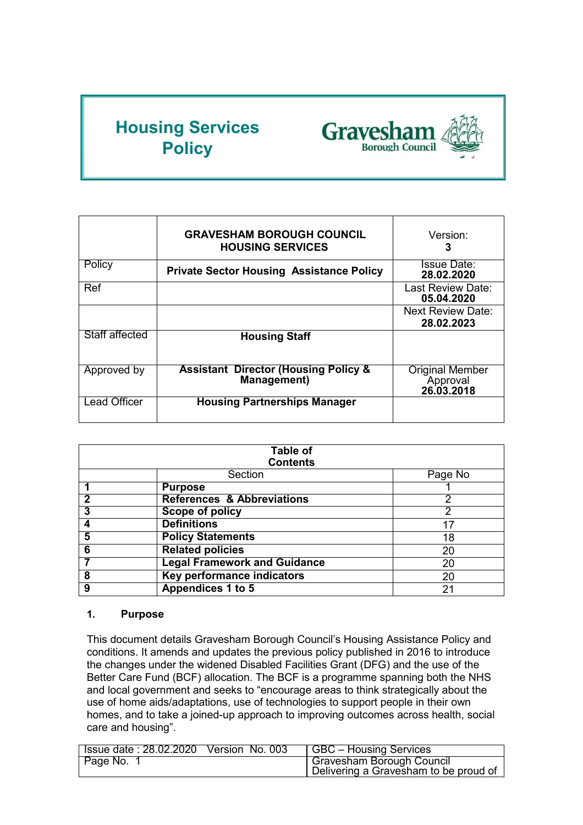# **Housing Services Policy**



|                     | <b>GRAVESHAM BOROUGH COUNCIL</b><br><b>HOUSING SERVICES</b>           | Version:<br>З                                    |
|---------------------|-----------------------------------------------------------------------|--------------------------------------------------|
| Policy              | <b>Private Sector Housing Assistance Policy</b>                       | <b>Issue Date:</b><br>28.02.2020                 |
| Ref                 |                                                                       | Last Review Date:<br>05.04.2020                  |
|                     |                                                                       | <b>Next Review Date:</b><br>28.02.2023           |
| Staff affected      | <b>Housing Staff</b>                                                  |                                                  |
| Approved by         | <b>Assistant Director (Housing Policy &amp;</b><br><b>Management)</b> | <b>Original Member</b><br>Approval<br>26.03.2018 |
| <b>Lead Officer</b> | <b>Housing Partnerships Manager</b>                                   |                                                  |

| <b>Table of</b><br><b>Contents</b> |                                       |         |
|------------------------------------|---------------------------------------|---------|
|                                    | Section                               | Page No |
|                                    | <b>Purpose</b>                        |         |
|                                    | <b>References &amp; Abbreviations</b> | ≘       |
| 3                                  | Scope of policy                       | າ       |
|                                    | <b>Definitions</b>                    | 17      |
| 5                                  | <b>Policy Statements</b>              | 18      |
| 6                                  | <b>Related policies</b>               | 20      |
|                                    | <b>Legal Framework and Guidance</b>   | 20      |
| 8                                  | Key performance indicators            | 20      |
| 9                                  | <b>Appendices 1 to 5</b>              | 21      |

### **1. Purpose**

This document details Gravesham Borough Council's Housing Assistance Policy and conditions. It amends and updates the previous policy published in 2016 to introduce the changes under the widened Disabled Facilities Grant (DFG) and the use of the Better Care Fund (BCF) allocation. The BCF is a programme spanning both the NHS and local government and seeks to "encourage areas to think strategically about the use of home aids/adaptations, use of technologies to support people in their own homes, and to take a joined-up approach to improving outcomes across health, social care and housing".

| Issue date: 28.02.2020 Version No. 003 | GBC - Housing Services                                             |
|----------------------------------------|--------------------------------------------------------------------|
| Page No.                               | Gravesham Borough Council<br>Delivering a Gravesham to be proud of |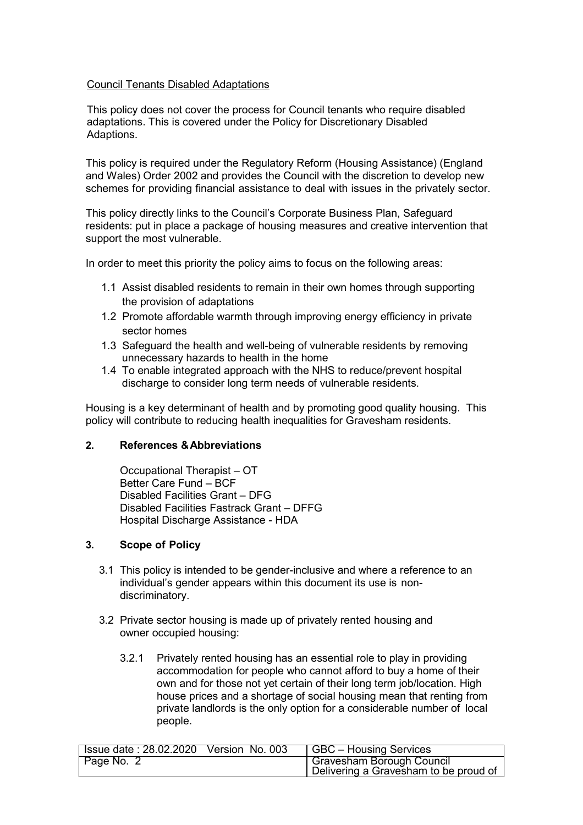## Council Tenants Disabled Adaptations

This policy does not cover the process for Council tenants who require disabled adaptations. This is covered under the Policy for Discretionary Disabled Adaptions.

This policy is required under the Regulatory Reform (Housing Assistance) (England and Wales) Order 2002 and provides the Council with the discretion to develop new schemes for providing financial assistance to deal with issues in the privately sector.

This policy directly links to the Council's Corporate Business Plan, Safeguard residents: put in place a package of housing measures and creative intervention that support the most vulnerable.

In order to meet this priority the policy aims to focus on the following areas:

- 1.1 Assist disabled residents to remain in their own homes through supporting the provision of adaptations
- 1.2 Promote affordable warmth through improving energy efficiency in private sector homes
- 1.3 Safeguard the health and well-being of vulnerable residents by removing unnecessary hazards to health in the home
- 1.4 To enable integrated approach with the NHS to reduce/prevent hospital discharge to consider long term needs of vulnerable residents.

Housing is a key determinant of health and by promoting good quality housing. This policy will contribute to reducing health inequalities for Gravesham residents.

### **2. References &Abbreviations**

Occupational Therapist – OT Better Care Fund – BCF Disabled Facilities Grant – DFG Disabled Facilities Fastrack Grant – DFFG Hospital Discharge Assistance - HDA

### **3. Scope of Policy**

- 3.1 This policy is intended to be gender-inclusive and where a reference to an individual's gender appears within this document its use is nondiscriminatory.
- 3.2 Private sector housing is made up of privately rented housing and owner occupied housing:
	- 3.2.1 Privately rented housing has an essential role to play in providing accommodation for people who cannot afford to buy a home of their own and for those not yet certain of their long term job/location. High house prices and a shortage of social housing mean that renting from private landlords is the only option for a considerable number of local people.

| Issue date: 28.02.2020  Version No. 003 | GBC – Housing Services                                             |
|-----------------------------------------|--------------------------------------------------------------------|
| l Page No. 2                            | Gravesham Borough Council<br>Delivering a Gravesham to be proud of |
|                                         |                                                                    |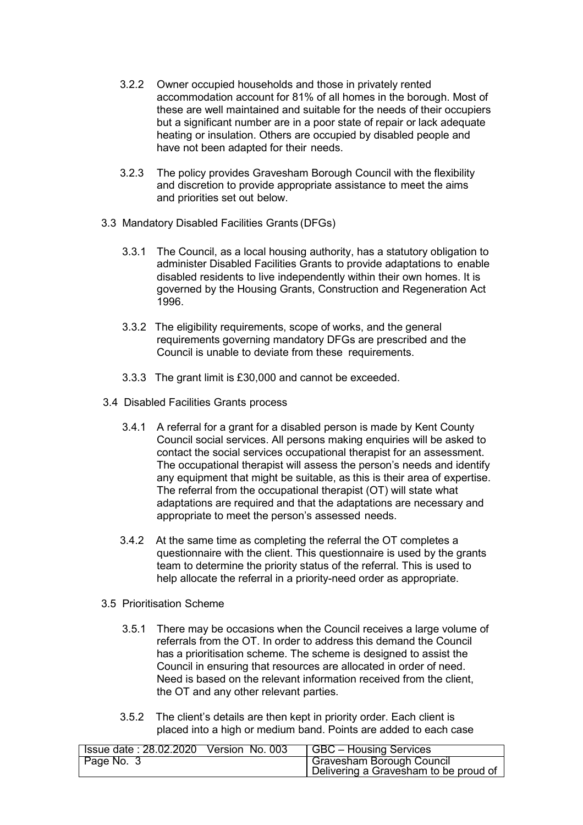- 3.2.2 Owner occupied households and those in privately rented accommodation account for 81% of all homes in the borough. Most of these are well maintained and suitable for the needs of their occupiers but a significant number are in a poor state of repair or lack adequate heating or insulation. Others are occupied by disabled people and have not been adapted for their needs.
- 3.2.3 The policy provides Gravesham Borough Council with the flexibility and discretion to provide appropriate assistance to meet the aims and priorities set out below.
- 3.3 Mandatory Disabled Facilities Grants (DFGs)
	- 3.3.1 The Council, as a local housing authority, has a statutory obligation to administer Disabled Facilities Grants to provide adaptations to enable disabled residents to live independently within their own homes. It is governed by the Housing Grants, Construction and Regeneration Act 1996.
	- 3.3.2 The eligibility requirements, scope of works, and the general requirements governing mandatory DFGs are prescribed and the Council is unable to deviate from these requirements.
	- 3.3.3 The grant limit is £30,000 and cannot be exceeded.
- 3.4 Disabled Facilities Grants process
	- 3.4.1 A referral for a grant for a disabled person is made by Kent County Council social services. All persons making enquiries will be asked to contact the social services occupational therapist for an assessment. The occupational therapist will assess the person's needs and identify any equipment that might be suitable, as this is their area of expertise. The referral from the occupational therapist (OT) will state what adaptations are required and that the adaptations are necessary and appropriate to meet the person's assessed needs.
	- 3.4.2 At the same time as completing the referral the OT completes a questionnaire with the client. This questionnaire is used by the grants team to determine the priority status of the referral. This is used to help allocate the referral in a priority-need order as appropriate.
- 3.5 Prioritisation Scheme
	- 3.5.1 There may be occasions when the Council receives a large volume of referrals from the OT. In order to address this demand the Council has a prioritisation scheme. The scheme is designed to assist the Council in ensuring that resources are allocated in order of need. Need is based on the relevant information received from the client, the OT and any other relevant parties.
	- 3.5.2 The client's details are then kept in priority order. Each client is placed into a high or medium band. Points are added to each case

| $\sqrt{1}$ Issue date : 28.02.2020 Version No. 003 | GBC – Housing Services                                             |
|----------------------------------------------------|--------------------------------------------------------------------|
| Page No. 3                                         | Gravesham Borough Council<br>Delivering a Gravesham to be proud of |
|                                                    |                                                                    |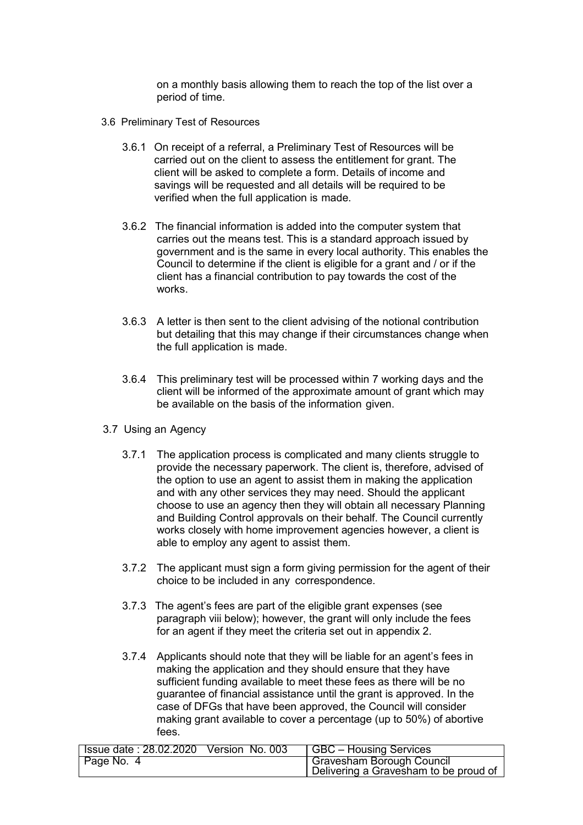on a monthly basis allowing them to reach the top of the list over a period of time.

- 3.6 Preliminary Test of Resources
	- 3.6.1 On receipt of a referral, a Preliminary Test of Resources will be carried out on the client to assess the entitlement for grant. The client will be asked to complete a form. Details of income and savings will be requested and all details will be required to be verified when the full application is made.
	- 3.6.2 The financial information is added into the computer system that carries out the means test. This is a standard approach issued by government and is the same in every local authority. This enables the Council to determine if the client is eligible for a grant and / or if the client has a financial contribution to pay towards the cost of the works.
	- 3.6.3 A letter is then sent to the client advising of the notional contribution but detailing that this may change if their circumstances change when the full application is made.
	- 3.6.4 This preliminary test will be processed within 7 working days and the client will be informed of the approximate amount of grant which may be available on the basis of the information given.
- 3.7 Using an Agency
	- 3.7.1 The application process is complicated and many clients struggle to provide the necessary paperwork. The client is, therefore, advised of the option to use an agent to assist them in making the application and with any other services they may need. Should the applicant choose to use an agency then they will obtain all necessary Planning and Building Control approvals on their behalf. The Council currently works closely with home improvement agencies however, a client is able to employ any agent to assist them.
	- 3.7.2 The applicant must sign a form giving permission for the agent of their choice to be included in any correspondence.
	- 3.7.3 The agent's fees are part of the eligible grant expenses (see paragraph viii below); however, the grant will only include the fees for an agent if they meet the criteria set out in appendix 2.
	- 3.7.4 Applicants should note that they will be liable for an agent's fees in making the application and they should ensure that they have sufficient funding available to meet these fees as there will be no guarantee of financial assistance until the grant is approved. In the case of DFGs that have been approved, the Council will consider making grant available to cover a percentage (up to 50%) of abortive fees.

| <b>Issue date: 28.02.2020 Version No. 003</b> | GBC - Housing Services                                             |
|-----------------------------------------------|--------------------------------------------------------------------|
| Page No. 4                                    | Gravesham Borough Council<br>Delivering a Gravesham to be proud of |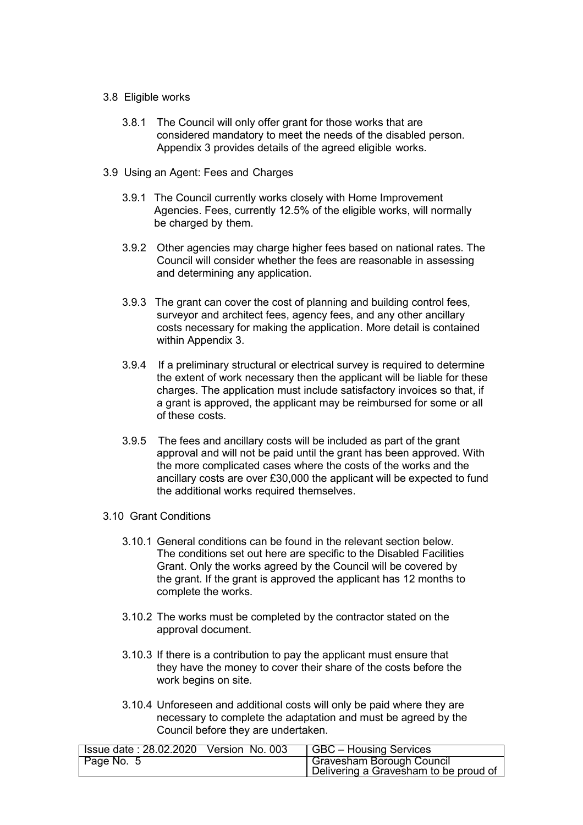#### 3.8 Eligible works

- 3.8.1 The Council will only offer grant for those works that are considered mandatory to meet the needs of the disabled person. Appendix 3 provides details of the agreed eligible works.
- 3.9 Using an Agent: Fees and Charges
	- 3.9.1 The Council currently works closely with Home Improvement Agencies. Fees, currently 12.5% of the eligible works, will normally be charged by them.
	- 3.9.2 Other agencies may charge higher fees based on national rates. The Council will consider whether the fees are reasonable in assessing and determining any application.
	- 3.9.3 The grant can cover the cost of planning and building control fees, surveyor and architect fees, agency fees, and any other ancillary costs necessary for making the application. More detail is contained within Appendix 3.
	- 3.9.4 If a preliminary structural or electrical survey is required to determine the extent of work necessary then the applicant will be liable for these charges. The application must include satisfactory invoices so that, if a grant is approved, the applicant may be reimbursed for some or all of these costs.
	- 3.9.5 The fees and ancillary costs will be included as part of the grant approval and will not be paid until the grant has been approved. With the more complicated cases where the costs of the works and the ancillary costs are over £30,000 the applicant will be expected to fund the additional works required themselves.

## 3.10 Grant Conditions

- 3.10.1 General conditions can be found in the relevant section below. The conditions set out here are specific to the Disabled Facilities Grant. Only the works agreed by the Council will be covered by the grant. If the grant is approved the applicant has 12 months to complete the works.
- 3.10.2 The works must be completed by the contractor stated on the approval document.
- 3.10.3 If there is a contribution to pay the applicant must ensure that they have the money to cover their share of the costs before the work begins on site.
- 3.10.4 Unforeseen and additional costs will only be paid where they are necessary to complete the adaptation and must be agreed by the Council before they are undertaken.

| <b>Issue date: 28.02.2020 Version No. 003</b> | GBC - Housing Services                                                    |
|-----------------------------------------------|---------------------------------------------------------------------------|
| Page No. 5                                    | <b>Gravesham Borough Council</b><br>Delivering a Gravesham to be proud of |
|                                               |                                                                           |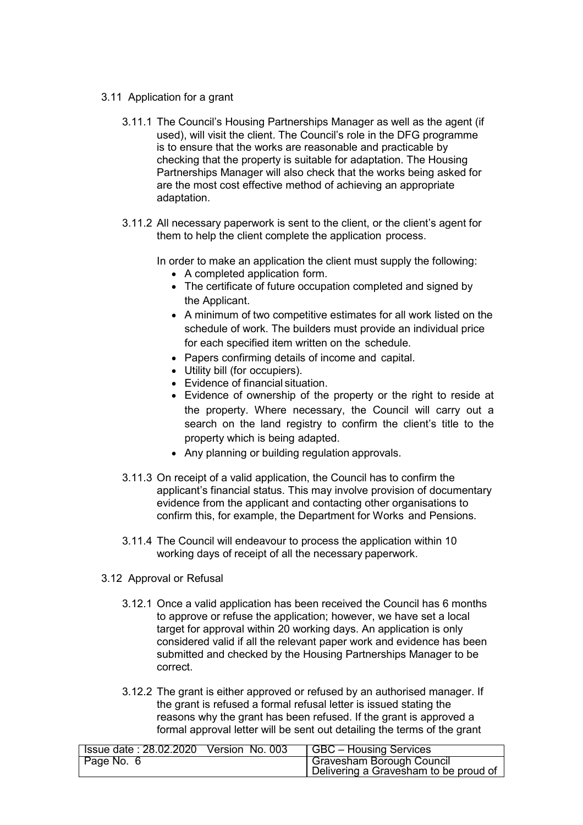- 3.11 Application for a grant
	- 3.11.1 The Council's Housing Partnerships Manager as well as the agent (if used), will visit the client. The Council's role in the DFG programme is to ensure that the works are reasonable and practicable by checking that the property is suitable for adaptation. The Housing Partnerships Manager will also check that the works being asked for are the most cost effective method of achieving an appropriate adaptation.
	- 3.11.2 All necessary paperwork is sent to the client, or the client's agent for them to help the client complete the application process.

In order to make an application the client must supply the following:

- A completed application form.
- The certificate of future occupation completed and signed by the Applicant.
- A minimum of two competitive estimates for all work listed on the schedule of work. The builders must provide an individual price for each specified item written on the schedule.
- Papers confirming details of income and capital.
- Utility bill (for occupiers).
- Evidence of financial situation.
- Evidence of ownership of the property or the right to reside at the property. Where necessary, the Council will carry out a search on the land registry to confirm the client's title to the property which is being adapted.
- Any planning or building regulation approvals.
- 3.11.3 On receipt of a valid application, the Council has to confirm the applicant's financial status. This may involve provision of documentary evidence from the applicant and contacting other organisations to confirm this, for example, the Department for Works and Pensions.
- 3.11.4 The Council will endeavour to process the application within 10 working days of receipt of all the necessary paperwork.
- 3.12 Approval or Refusal
	- 3.12.1 Once a valid application has been received the Council has 6 months to approve or refuse the application; however, we have set a local target for approval within 20 working days. An application is only considered valid if all the relevant paper work and evidence has been submitted and checked by the Housing Partnerships Manager to be correct.
	- 3.12.2 The grant is either approved or refused by an authorised manager. If the grant is refused a formal refusal letter is issued stating the reasons why the grant has been refused. If the grant is approved a formal approval letter will be sent out detailing the terms of the grant

| <b>Issue date: 28.02.2020 Version No. 003</b> | GBC – Housing Services                                                    |
|-----------------------------------------------|---------------------------------------------------------------------------|
| Page No. 6                                    | <b>Gravesham Borough Council</b><br>Delivering a Gravesham to be proud of |
|                                               |                                                                           |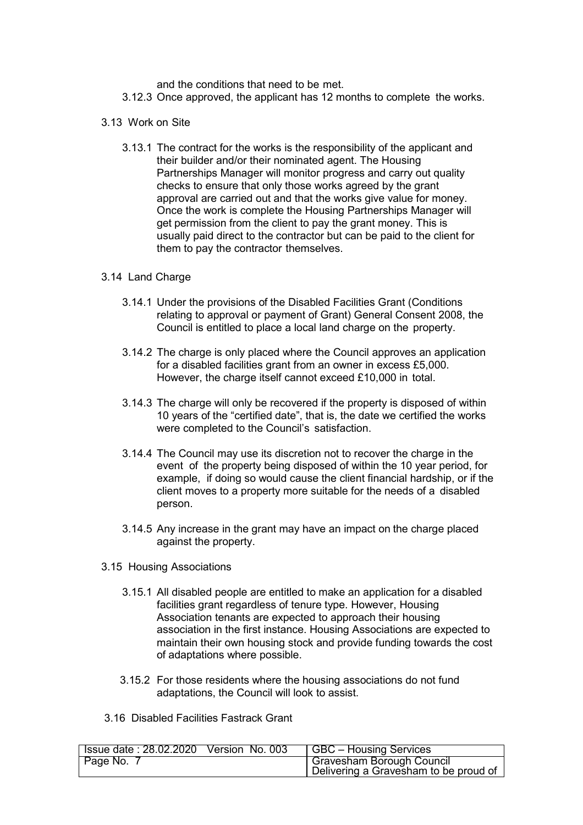and the conditions that need to be met.

- 3.12.3 Once approved, the applicant has 12 months to complete the works.
- 3.13 Work on Site
	- 3.13.1 The contract for the works is the responsibility of the applicant and their builder and/or their nominated agent. The Housing Partnerships Manager will monitor progress and carry out quality checks to ensure that only those works agreed by the grant approval are carried out and that the works give value for money. Once the work is complete the Housing Partnerships Manager will get permission from the client to pay the grant money. This is usually paid direct to the contractor but can be paid to the client for them to pay the contractor themselves.

#### 3.14 Land Charge

- 3.14.1 Under the provisions of the Disabled Facilities Grant (Conditions relating to approval or payment of Grant) General Consent 2008, the Council is entitled to place a local land charge on the property.
- 3.14.2 The charge is only placed where the Council approves an application for a disabled facilities grant from an owner in excess £5,000. However, the charge itself cannot exceed £10,000 in total.
- 3.14.3 The charge will only be recovered if the property is disposed of within 10 years of the "certified date", that is, the date we certified the works were completed to the Council's satisfaction.
- 3.14.4 The Council may use its discretion not to recover the charge in the event of the property being disposed of within the 10 year period, for example, if doing so would cause the client financial hardship, or if the client moves to a property more suitable for the needs of a disabled person.
- 3.14.5 Any increase in the grant may have an impact on the charge placed against the property.
- 3.15 Housing Associations
	- 3.15.1 All disabled people are entitled to make an application for a disabled facilities grant regardless of tenure type. However, Housing Association tenants are expected to approach their housing association in the first instance. Housing Associations are expected to maintain their own housing stock and provide funding towards the cost of adaptations where possible.
	- 3.15.2 For those residents where the housing associations do not fund adaptations, the Council will look to assist.
- 3.16 Disabled Facilities Fastrack Grant

| <b>Issue date: 28.02.2020 Version No. 003</b> | GBC – Housing Services                                             |
|-----------------------------------------------|--------------------------------------------------------------------|
| Page No.                                      | Gravesham Borough Council<br>Delivering a Gravesham to be proud of |
|                                               |                                                                    |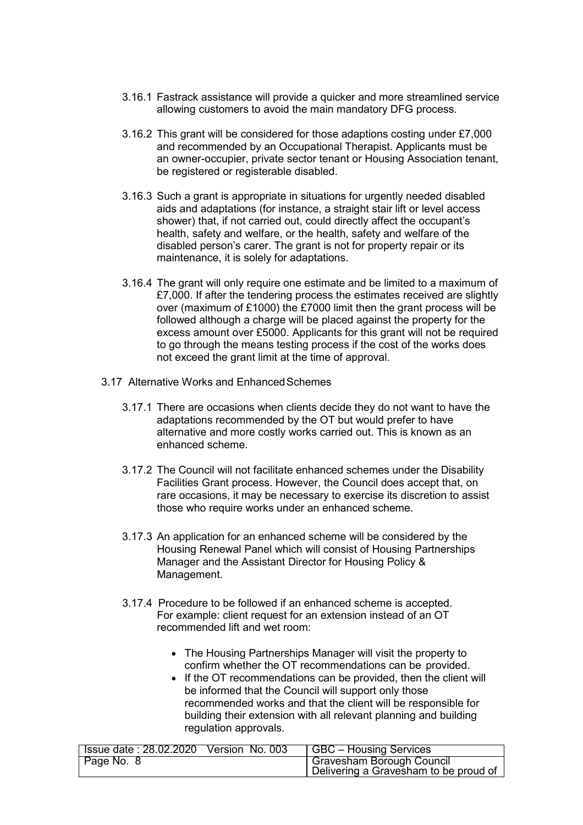- 3.16.1 Fastrack assistance will provide a quicker and more streamlined service allowing customers to avoid the main mandatory DFG process.
- 3.16.2 This grant will be considered for those adaptions costing under £7,000 and recommended by an Occupational Therapist. Applicants must be an owner-occupier, private sector tenant or Housing Association tenant, be registered or registerable disabled.
- 3.16.3 Such a grant is appropriate in situations for urgently needed disabled aids and adaptations (for instance, a straight stair lift or level access shower) that, if not carried out, could directly affect the occupant's health, safety and welfare, or the health, safety and welfare of the disabled person's carer. The grant is not for property repair or its maintenance, it is solely for adaptations.
- 3.16.4 The grant will only require one estimate and be limited to a maximum of £7,000. If after the tendering process the estimates received are slightly over (maximum of £1000) the £7000 limit then the grant process will be followed although a charge will be placed against the property for the excess amount over £5000. Applicants for this grant will not be required to go through the means testing process if the cost of the works does not exceed the grant limit at the time of approval.
- 3.17 Alternative Works and Enhanced Schemes
	- 3.17.1 There are occasions when clients decide they do not want to have the adaptations recommended by the OT but would prefer to have alternative and more costly works carried out. This is known as an enhanced scheme.
	- 3.17.2 The Council will not facilitate enhanced schemes under the Disability Facilities Grant process. However, the Council does accept that, on rare occasions, it may be necessary to exercise its discretion to assist those who require works under an enhanced scheme.
	- 3.17.3 An application for an enhanced scheme will be considered by the Housing Renewal Panel which will consist of Housing Partnerships Manager and the Assistant Director for Housing Policy & Management.
	- 3.17.4 Procedure to be followed if an enhanced scheme is accepted. For example: client request for an extension instead of an OT recommended lift and wet room:
		- The Housing Partnerships Manager will visit the property to confirm whether the OT recommendations can be provided.
		- If the OT recommendations can be provided, then the client will be informed that the Council will support only those recommended works and that the client will be responsible for building their extension with all relevant planning and building regulation approvals.

| $\sqrt{1}$ Issue date : 28.02.2020 Version No. 003 | GBC – Housing Services                                             |
|----------------------------------------------------|--------------------------------------------------------------------|
| Page No. 8                                         | Gravesham Borough Council<br>Delivering a Gravesham to be proud of |
|                                                    |                                                                    |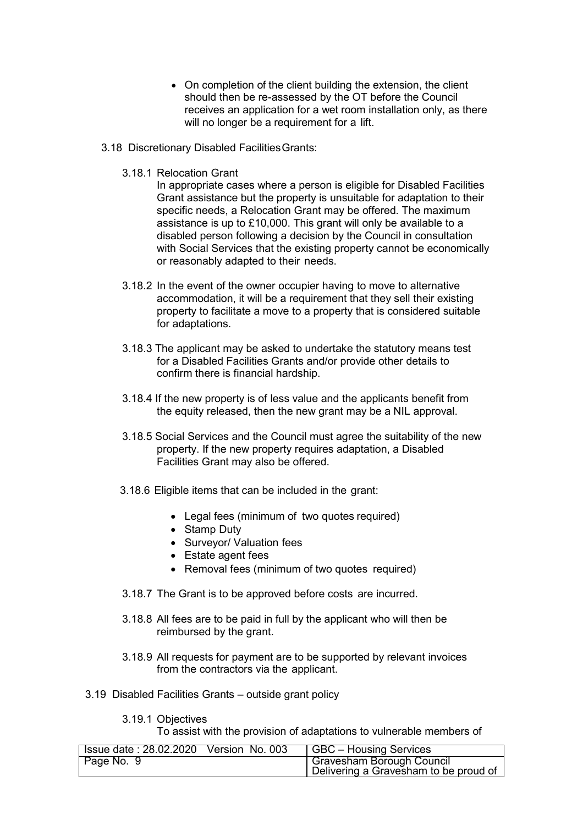- On completion of the client building the extension, the client should then be re-assessed by the OT before the Council receives an application for a wet room installation only, as there will no longer be a requirement for a lift.
- 3.18 Discretionary Disabled FacilitiesGrants:
	- 3.18.1 Relocation Grant

In appropriate cases where a person is eligible for Disabled Facilities Grant assistance but the property is unsuitable for adaptation to their specific needs, a Relocation Grant may be offered. The maximum assistance is up to £10,000. This grant will only be available to a disabled person following a decision by the Council in consultation with Social Services that the existing property cannot be economically or reasonably adapted to their needs.

- 3.18.2 In the event of the owner occupier having to move to alternative accommodation, it will be a requirement that they sell their existing property to facilitate a move to a property that is considered suitable for adaptations.
- 3.18.3 The applicant may be asked to undertake the statutory means test for a Disabled Facilities Grants and/or provide other details to confirm there is financial hardship.
- 3.18.4 If the new property is of less value and the applicants benefit from the equity released, then the new grant may be a NIL approval.
- 3.18.5 Social Services and the Council must agree the suitability of the new property. If the new property requires adaptation, a Disabled Facilities Grant may also be offered.
- 3.18.6 Eligible items that can be included in the grant:
	- Legal fees (minimum of two quotes required)
	- Stamp Duty
	- Surveyor/ Valuation fees
	- Estate agent fees
	- Removal fees (minimum of two quotes required)
- 3.18.7 The Grant is to be approved before costs are incurred.
- 3.18.8 All fees are to be paid in full by the applicant who will then be reimbursed by the grant.
- 3.18.9 All requests for payment are to be supported by relevant invoices from the contractors via the applicant.
- 3.19 Disabled Facilities Grants outside grant policy
	- 3.19.1 Objectives

To assist with the provision of adaptations to vulnerable members of

| Issue date: 28.02.2020  Version No. 003 | <b>GBC</b> – Housing Services          |
|-----------------------------------------|----------------------------------------|
| Page No. 9                              | <sup>1</sup> Gravesham Borough Council |
|                                         | Delivering a Gravesham to be proud of  |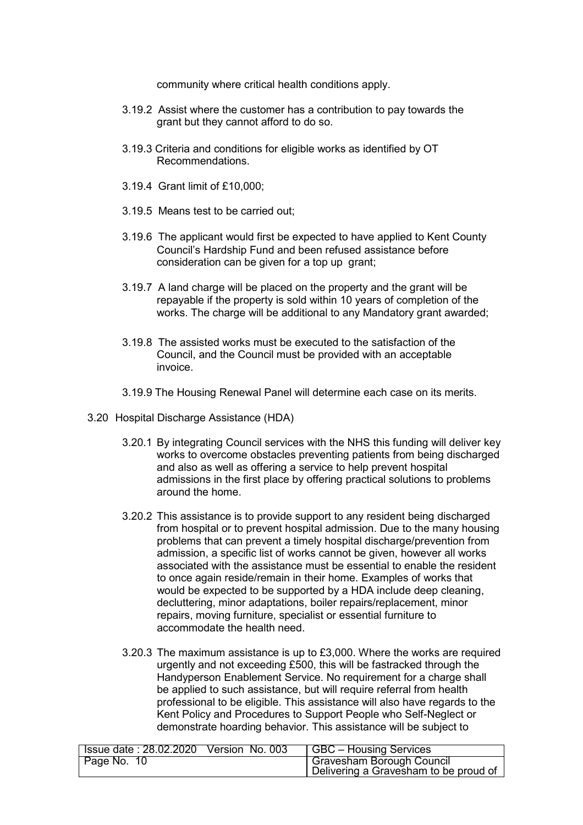community where critical health conditions apply.

- 3.19.2 Assist where the customer has a contribution to pay towards the grant but they cannot afford to do so.
- 3.19.3 Criteria and conditions for eligible works as identified by OT Recommendations.
- 3.19.4 Grant limit of £10,000;
- 3.19.5 Means test to be carried out;
- 3.19.6 The applicant would first be expected to have applied to Kent County Council's Hardship Fund and been refused assistance before consideration can be given for a top up grant;
- 3.19.7 A land charge will be placed on the property and the grant will be repayable if the property is sold within 10 years of completion of the works. The charge will be additional to any Mandatory grant awarded;
- 3.19.8 The assisted works must be executed to the satisfaction of the Council, and the Council must be provided with an acceptable invoice.
- 3.19.9 The Housing Renewal Panel will determine each case on its merits.
- 3.20 Hospital Discharge Assistance (HDA)
	- 3.20.1 By integrating Council services with the NHS this funding will deliver key works to overcome obstacles preventing patients from being discharged and also as well as offering a service to help prevent hospital admissions in the first place by offering practical solutions to problems around the home.
	- 3.20.2 This assistance is to provide support to any resident being discharged from hospital or to prevent hospital admission. Due to the many housing problems that can prevent a timely hospital discharge/prevention from admission, a specific list of works cannot be given, however all works associated with the assistance must be essential to enable the resident to once again reside/remain in their home. Examples of works that would be expected to be supported by a HDA include deep cleaning, decluttering, minor adaptations, boiler repairs/replacement, minor repairs, moving furniture, specialist or essential furniture to accommodate the health need.
	- 3.20.3 The maximum assistance is up to £3,000. Where the works are required urgently and not exceeding £500, this will be fastracked through the Handyperson Enablement Service. No requirement for a charge shall be applied to such assistance, but will require referral from health professional to be eligible. This assistance will also have regards to the Kent Policy and Procedures to Support People who Self-Neglect or demonstrate hoarding behavior. This assistance will be subject to

| Issue date: 28.02.2020  Version No. 003 | GBC – Housing Services                                               |
|-----------------------------------------|----------------------------------------------------------------------|
| Page No. 10                             | ' Gravesham Borough Council<br>Delivering a Gravesham to be proud of |
|                                         |                                                                      |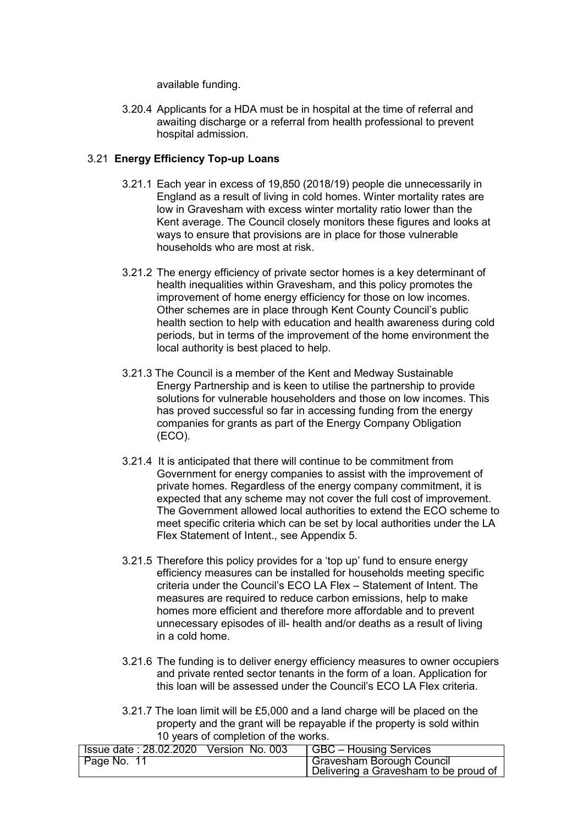available funding.

3.20.4 Applicants for a HDA must be in hospital at the time of referral and awaiting discharge or a referral from health professional to prevent hospital admission.

## 3.21 **Energy Efficiency Top-up Loans**

- 3.21.1 Each year in excess of 19,850 (2018/19) people die unnecessarily in England as a result of living in cold homes. Winter mortality rates are low in Gravesham with excess winter mortality ratio lower than the Kent average. The Council closely monitors these figures and looks at ways to ensure that provisions are in place for those vulnerable households who are most at risk.
- 3.21.2 The energy efficiency of private sector homes is a key determinant of health inequalities within Gravesham, and this policy promotes the improvement of home energy efficiency for those on low incomes. Other schemes are in place through Kent County Council's public health section to help with education and health awareness during cold periods, but in terms of the improvement of the home environment the local authority is best placed to help.
- 3.21.3 The Council is a member of the Kent and Medway Sustainable Energy Partnership and is keen to utilise the partnership to provide solutions for vulnerable householders and those on low incomes. This has proved successful so far in accessing funding from the energy companies for grants as part of the Energy Company Obligation (ECO).
- 3.21.4 It is anticipated that there will continue to be commitment from Government for energy companies to assist with the improvement of private homes. Regardless of the energy company commitment, it is expected that any scheme may not cover the full cost of improvement. The Government allowed local authorities to extend the ECO scheme to meet specific criteria which can be set by local authorities under the LA Flex Statement of Intent., see Appendix 5.
- 3.21.5 Therefore this policy provides for a 'top up' fund to ensure energy efficiency measures can be installed for households meeting specific criteria under the Council's ECO LA Flex – Statement of Intent. The measures are required to reduce carbon emissions, help to make homes more efficient and therefore more affordable and to prevent unnecessary episodes of ill- health and/or deaths as a result of living in a cold home.
- 3.21.6 The funding is to deliver energy efficiency measures to owner occupiers and private rented sector tenants in the form of a loan. Application for this loan will be assessed under the Council's ECO LA Flex criteria.
- 3.21.7 The loan limit will be £5,000 and a land charge will be placed on the property and the grant will be repayable if the property is sold within 10 years of completion of the works.

| Solution No. 003 lss lss lss lss ls 28.02.2020 Version No. 003 | <b>GBC</b> – Housing Services                                             |
|----------------------------------------------------------------|---------------------------------------------------------------------------|
| Page No. 11                                                    | <b>Gravesham Borough Council</b><br>Delivering a Gravesham to be proud of |
|                                                                |                                                                           |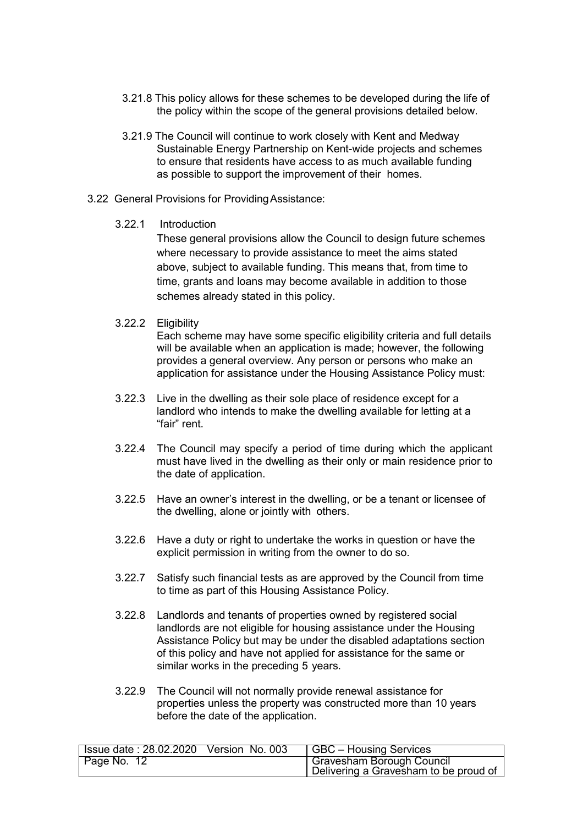- 3.21.8 This policy allows for these schemes to be developed during the life of the policy within the scope of the general provisions detailed below.
- 3.21.9 The Council will continue to work closely with Kent and Medway Sustainable Energy Partnership on Kent-wide projects and schemes to ensure that residents have access to as much available funding as possible to support the improvement of their homes.
- 3.22 General Provisions for ProvidingAssistance:
	- 3.22.1 Introduction

These general provisions allow the Council to design future schemes where necessary to provide assistance to meet the aims stated above, subject to available funding. This means that, from time to time, grants and loans may become available in addition to those schemes already stated in this policy.

3.22.2 Eligibility

Each scheme may have some specific eligibility criteria and full details will be available when an application is made; however, the following provides a general overview. Any person or persons who make an application for assistance under the Housing Assistance Policy must:

- 3.22.3 Live in the dwelling as their sole place of residence except for a landlord who intends to make the dwelling available for letting at a "fair" rent.
- 3.22.4 The Council may specify a period of time during which the applicant must have lived in the dwelling as their only or main residence prior to the date of application.
- 3.22.5 Have an owner's interest in the dwelling, or be a tenant or licensee of the dwelling, alone or jointly with others.
- 3.22.6 Have a duty or right to undertake the works in question or have the explicit permission in writing from the owner to do so.
- 3.22.7 Satisfy such financial tests as are approved by the Council from time to time as part of this Housing Assistance Policy.
- 3.22.8 Landlords and tenants of properties owned by registered social landlords are not eligible for housing assistance under the Housing Assistance Policy but may be under the disabled adaptations section of this policy and have not applied for assistance for the same or similar works in the preceding 5 years.
- 3.22.9 The Council will not normally provide renewal assistance for properties unless the property was constructed more than 10 years before the date of the application.

| <b>Issue date: 28.02.2020 Version No. 003</b> | GBC - Housing Services                                             |
|-----------------------------------------------|--------------------------------------------------------------------|
| Page No. 12                                   | Gravesham Borough Council<br>Delivering a Gravesham to be proud of |
|                                               |                                                                    |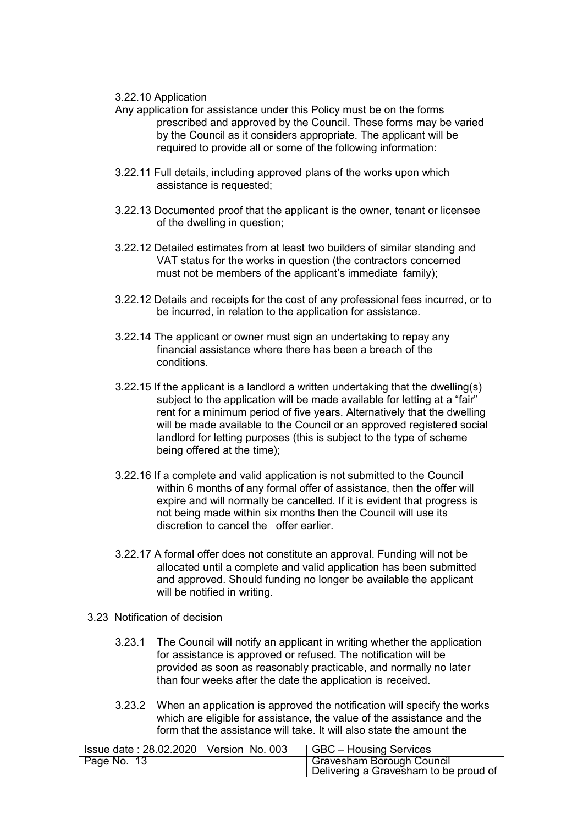#### 3.22.10 Application

- Any application for assistance under this Policy must be on the forms prescribed and approved by the Council. These forms may be varied by the Council as it considers appropriate. The applicant will be required to provide all or some of the following information:
- 3.22.11 Full details, including approved plans of the works upon which assistance is requested;
- 3.22.13 Documented proof that the applicant is the owner, tenant or licensee of the dwelling in question;
- 3.22.12 Detailed estimates from at least two builders of similar standing and VAT status for the works in question (the contractors concerned must not be members of the applicant's immediate family);
- 3.22.12 Details and receipts for the cost of any professional fees incurred, or to be incurred, in relation to the application for assistance.
- 3.22.14 The applicant or owner must sign an undertaking to repay any financial assistance where there has been a breach of the conditions.
- 3.22.15 If the applicant is a landlord a written undertaking that the dwelling(s) subject to the application will be made available for letting at a "fair" rent for a minimum period of five years. Alternatively that the dwelling will be made available to the Council or an approved registered social landlord for letting purposes (this is subject to the type of scheme being offered at the time);
- 3.22.16 If a complete and valid application is not submitted to the Council within 6 months of any formal offer of assistance, then the offer will expire and will normally be cancelled. If it is evident that progress is not being made within six months then the Council will use its discretion to cancel the offer earlier.
- 3.22.17 A formal offer does not constitute an approval. Funding will not be allocated until a complete and valid application has been submitted and approved. Should funding no longer be available the applicant will be notified in writing.
- 3.23 Notification of decision
	- 3.23.1 The Council will notify an applicant in writing whether the application for assistance is approved or refused. The notification will be provided as soon as reasonably practicable, and normally no later than four weeks after the date the application is received.
	- 3.23.2 When an application is approved the notification will specify the works which are eligible for assistance, the value of the assistance and the form that the assistance will take. It will also state the amount the

| <b>Issue date: 28.02.2020 Version No. 003</b> | GBC – Housing Services                                                    |
|-----------------------------------------------|---------------------------------------------------------------------------|
| Page No. 13                                   | <b>Gravesham Borough Council</b><br>Delivering a Gravesham to be proud of |
|                                               |                                                                           |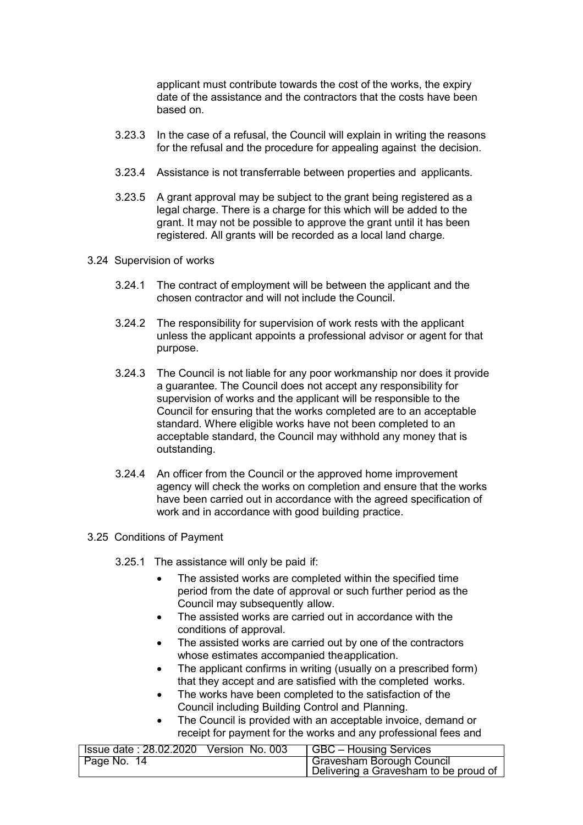applicant must contribute towards the cost of the works, the expiry date of the assistance and the contractors that the costs have been based on.

- 3.23.3 In the case of a refusal, the Council will explain in writing the reasons for the refusal and the procedure for appealing against the decision.
- 3.23.4 Assistance is not transferrable between properties and applicants.
- 3.23.5 A grant approval may be subject to the grant being registered as a legal charge. There is a charge for this which will be added to the grant. It may not be possible to approve the grant until it has been registered. All grants will be recorded as a local land charge.
- 3.24 Supervision of works
	- 3.24.1 The contract of employment will be between the applicant and the chosen contractor and will not include the Council.
	- 3.24.2 The responsibility for supervision of work rests with the applicant unless the applicant appoints a professional advisor or agent for that purpose.
	- 3.24.3 The Council is not liable for any poor workmanship nor does it provide a guarantee. The Council does not accept any responsibility for supervision of works and the applicant will be responsible to the Council for ensuring that the works completed are to an acceptable standard. Where eligible works have not been completed to an acceptable standard, the Council may withhold any money that is outstanding.
	- 3.24.4 An officer from the Council or the approved home improvement agency will check the works on completion and ensure that the works have been carried out in accordance with the agreed specification of work and in accordance with good building practice.
- 3.25 Conditions of Payment
	- 3.25.1 The assistance will only be paid if:
		- The assisted works are completed within the specified time period from the date of approval or such further period as the Council may subsequently allow.
		- The assisted works are carried out in accordance with the conditions of approval.
		- The assisted works are carried out by one of the contractors whose estimates accompanied theapplication.
		- The applicant confirms in writing (usually on a prescribed form) that they accept and are satisfied with the completed works.
		- The works have been completed to the satisfaction of the Council including Building Control and Planning.
		- The Council is provided with an acceptable invoice, demand or receipt for payment for the works and any professional fees and

| Issue date: 28.02.2020  Version No. 003 | <b>GBC</b> – Housing Services         |
|-----------------------------------------|---------------------------------------|
| Page No. 14                             | Gravesham Borough Council             |
|                                         | Delivering a Gravesham to be proud of |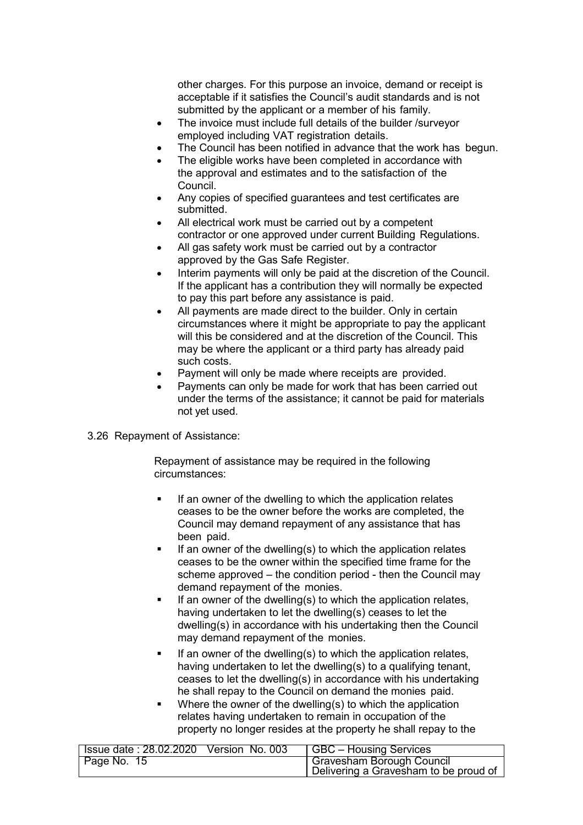other charges. For this purpose an invoice, demand or receipt is acceptable if it satisfies the Council's audit standards and is not submitted by the applicant or a member of his family.

- The invoice must include full details of the builder /surveyor employed including VAT registration details.
- The Council has been notified in advance that the work has begun.
- The eligible works have been completed in accordance with the approval and estimates and to the satisfaction of the Council.
- Any copies of specified guarantees and test certificates are submitted.
- All electrical work must be carried out by a competent contractor or one approved under current Building Regulations.
- All gas safety work must be carried out by a contractor approved by the Gas Safe Register.
- Interim payments will only be paid at the discretion of the Council. If the applicant has a contribution they will normally be expected to pay this part before any assistance is paid.
- All payments are made direct to the builder. Only in certain circumstances where it might be appropriate to pay the applicant will this be considered and at the discretion of the Council. This may be where the applicant or a third party has already paid such costs.
- Payment will only be made where receipts are provided.
- Payments can only be made for work that has been carried out under the terms of the assistance; it cannot be paid for materials not yet used.
- 3.26 Repayment of Assistance:

Repayment of assistance may be required in the following circumstances:

- If an owner of the dwelling to which the application relates ceases to be the owner before the works are completed, the Council may demand repayment of any assistance that has been paid.
- $\blacksquare$  If an owner of the dwelling(s) to which the application relates ceases to be the owner within the specified time frame for the scheme approved – the condition period - then the Council may demand repayment of the monies.
- $\blacksquare$  If an owner of the dwelling(s) to which the application relates, having undertaken to let the dwelling(s) ceases to let the dwelling(s) in accordance with his undertaking then the Council may demand repayment of the monies.
- If an owner of the dwelling(s) to which the application relates, having undertaken to let the dwelling(s) to a qualifying tenant, ceases to let the dwelling(s) in accordance with his undertaking he shall repay to the Council on demand the monies paid.
- Where the owner of the dwelling(s) to which the application relates having undertaken to remain in occupation of the property no longer resides at the property he shall repay to the

| <b>Issue date: 28.02.2020 Version No. 003</b> | GBC - Housing Services                                               |
|-----------------------------------------------|----------------------------------------------------------------------|
| Page No. 15                                   | ' Gravesham Borough Council<br>Delivering a Gravesham to be proud of |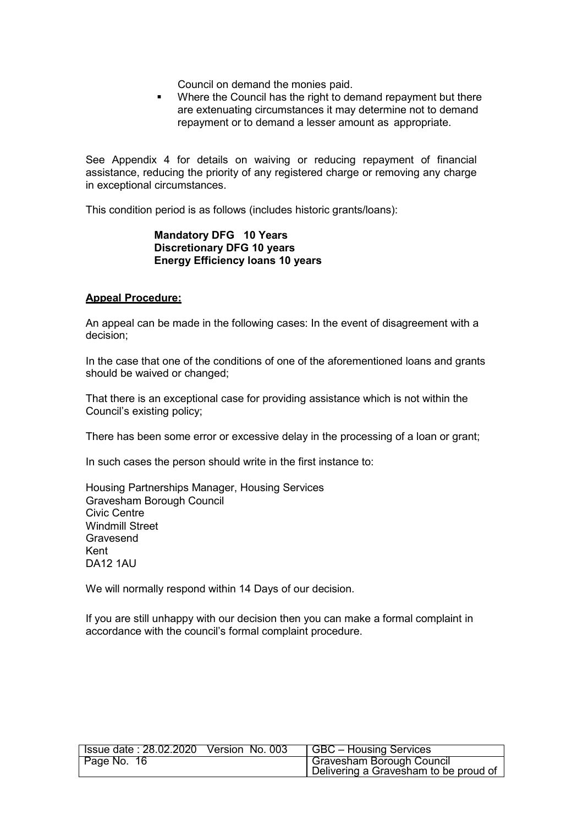Council on demand the monies paid.

• Where the Council has the right to demand repayment but there are extenuating circumstances it may determine not to demand repayment or to demand a lesser amount as appropriate.

See Appendix 4 for details on waiving or reducing repayment of financial assistance, reducing the priority of any registered charge or removing any charge in exceptional circumstances.

This condition period is as follows (includes historic grants/loans):

### **Mandatory DFG 10 Years Discretionary DFG 10 years Energy Efficiency loans 10 years**

### **Appeal Procedure:**

An appeal can be made in the following cases: In the event of disagreement with a decision;

In the case that one of the conditions of one of the aforementioned loans and grants should be waived or changed;

That there is an exceptional case for providing assistance which is not within the Council's existing policy;

There has been some error or excessive delay in the processing of a loan or grant;

In such cases the person should write in the first instance to:

Housing Partnerships Manager, Housing Services Gravesham Borough Council Civic Centre Windmill Street **Gravesend** Kent DA12 1AU

We will normally respond within 14 Days of our decision.

If you are still unhappy with our decision then you can make a formal complaint in accordance with the council's formal complaint procedure.

| l Issue date : 28.02.2020  Version No. 003 | GBC - Housing Services                                             |
|--------------------------------------------|--------------------------------------------------------------------|
| Page No. 16                                | Gravesham Borough Council<br>Delivering a Gravesham to be proud of |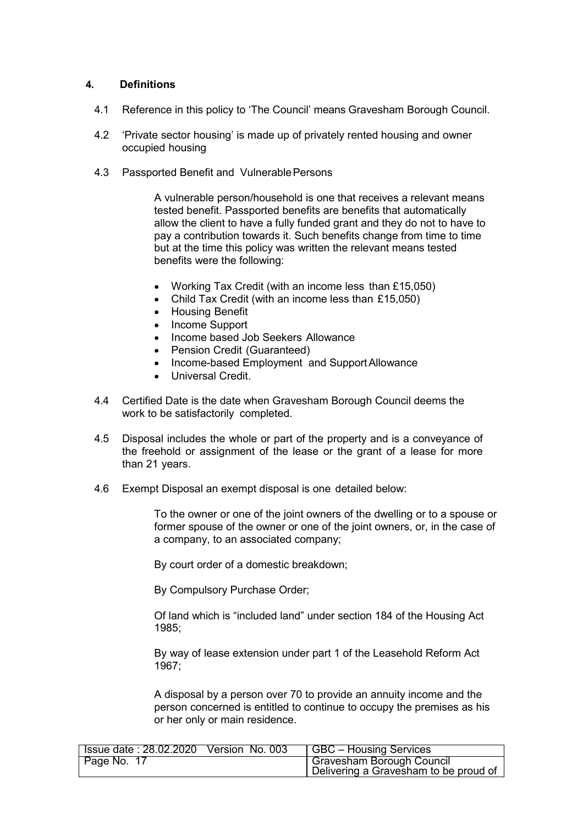## **4. Definitions**

- 4.1 Reference in this policy to 'The Council' means Gravesham Borough Council.
- 4.2 'Private sector housing' is made up of privately rented housing and owner occupied housing
- 4.3 Passported Benefit and Vulnerable Persons

A vulnerable person/household is one that receives a relevant means tested benefit. Passported benefits are benefits that automatically allow the client to have a fully funded grant and they do not to have to pay a contribution towards it. Such benefits change from time to time but at the time this policy was written the relevant means tested benefits were the following:

- Working Tax Credit (with an income less than £15,050)
- Child Tax Credit (with an income less than £15,050)
- Housing Benefit
- Income Support
- Income based Job Seekers Allowance
- Pension Credit (Guaranteed)
- Income-based Employment and SupportAllowance
- Universal Credit.
- 4.4 Certified Date is the date when Gravesham Borough Council deems the work to be satisfactorily completed.
- 4.5 Disposal includes the whole or part of the property and is a conveyance of the freehold or assignment of the lease or the grant of a lease for more than 21 years.
- 4.6 Exempt Disposal an exempt disposal is one detailed below:

To the owner or one of the joint owners of the dwelling or to a spouse or former spouse of the owner or one of the joint owners, or, in the case of a company, to an associated company;

By court order of a domestic breakdown;

By Compulsory Purchase Order;

Of land which is "included land" under section 184 of the Housing Act 1985;

By way of lease extension under part 1 of the Leasehold Reform Act 1967;

A disposal by a person over 70 to provide an annuity income and the person concerned is entitled to continue to occupy the premises as his or her only or main residence.

| <b>Issue date: 28.02.2020 Version No. 003</b> | GBC - Housing Services                                                    |
|-----------------------------------------------|---------------------------------------------------------------------------|
| Page No. 17                                   | <b>Gravesham Borough Council</b><br>Delivering a Gravesham to be proud of |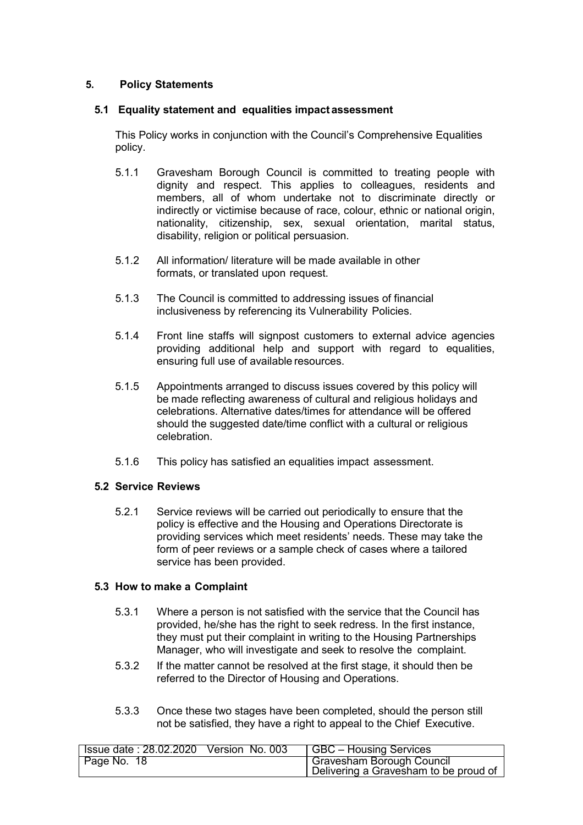## **5. Policy Statements**

### **5.1 Equality statement and equalities impact assessment**

This Policy works in conjunction with the Council's Comprehensive Equalities policy.

- 5.1.1 Gravesham Borough Council is committed to treating people with dignity and respect. This applies to colleagues, residents and members, all of whom undertake not to discriminate directly or indirectly or victimise because of race, colour, ethnic or national origin, nationality, citizenship, sex, sexual orientation, marital status, disability, religion or political persuasion.
- 5.1.2 All information/ literature will be made available in other formats, or translated upon request.
- 5.1.3 The Council is committed to addressing issues of financial inclusiveness by referencing its Vulnerability Policies.
- 5.1.4 Front line staffs will signpost customers to external advice agencies providing additional help and support with regard to equalities, ensuring full use of available resources.
- 5.1.5 Appointments arranged to discuss issues covered by this policy will be made reflecting awareness of cultural and religious holidays and celebrations. Alternative dates/times for attendance will be offered should the suggested date/time conflict with a cultural or religious celebration.
- 5.1.6 This policy has satisfied an equalities impact assessment.

### **5.2 Service Reviews**

5.2.1 Service reviews will be carried out periodically to ensure that the policy is effective and the Housing and Operations Directorate is providing services which meet residents' needs. These may take the form of peer reviews or a sample check of cases where a tailored service has been provided.

## **5.3 How to make a Complaint**

- 5.3.1 Where a person is not satisfied with the service that the Council has provided, he/she has the right to seek redress. In the first instance, they must put their complaint in writing to the Housing Partnerships Manager, who will investigate and seek to resolve the complaint.
- 5.3.2 If the matter cannot be resolved at the first stage, it should then be referred to the Director of Housing and Operations.
- 5.3.3 Once these two stages have been completed, should the person still not be satisfied, they have a right to appeal to the Chief Executive.

| <b>Issue date: 28.02.2020 Version No. 003</b> | GBC - Housing Services                                                    |
|-----------------------------------------------|---------------------------------------------------------------------------|
| Page No. 18                                   | <b>Gravesham Borough Council</b><br>Delivering a Gravesham to be proud of |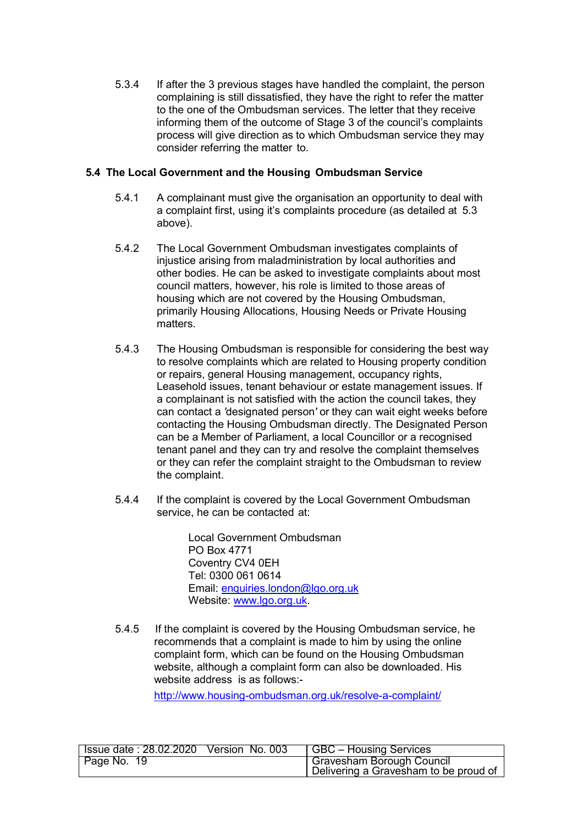5.3.4 If after the 3 previous stages have handled the complaint, the person complaining is still dissatisfied, they have the right to refer the matter to the one of the Ombudsman services. The letter that they receive informing them of the outcome of Stage 3 of the council's complaints process will give direction as to which Ombudsman service they may consider referring the matter to.

## **5.4 The Local Government and the Housing Ombudsman Service**

- 5.4.1 A complainant must give the organisation an opportunity to deal with a complaint first, using it's complaints procedure (as detailed at 5.3 above).
- 5.4.2 The Local Government Ombudsman investigates complaints of injustice arising from maladministration by local authorities and other bodies. He can be asked to investigate complaints about most council matters, however, his role is limited to those areas of housing which are not covered by the Housing Ombudsman, primarily Housing Allocations, Housing Needs or Private Housing matters.
- 5.4.3 The Housing Ombudsman is responsible for considering the best way to resolve complaints which are related to Housing property condition or repairs, general Housing management, occupancy rights, Leasehold issues, tenant behaviour or estate management issues. If a complainant is not satisfied with the action the council takes, they can contact a *'*designated person*'* or they can wait eight weeks before contacting the Housing Ombudsman directly. The Designated Person can be a Member of Parliament, a local Councillor or a recognised tenant panel and they can try and resolve the complaint themselves or they can refer the complaint straight to the Ombudsman to review the complaint.
- 5.4.4 If the complaint is covered by the Local Government Ombudsman service, he can be contacted at:

Local Government Ombudsman PO Box 4771 Coventry CV4 0EH Tel: 0300 061 0614 Email: [enquiries.london@lgo.org.uk](mailto:enquiries.london@lgo.org.uk) Website: [www.lgo.org.uk.](http://www.lgo.org.uk/)

5.4.5 If the complaint is covered by the Housing Ombudsman service, he recommends that a complaint is made to him by using the online complaint form, which can be found on the Housing Ombudsman website, although a complaint form can also be downloaded. His website address is as follows:-

<http://www.housing-ombudsman.org.uk/resolve-a-complaint/>

| Issue date: 28.02.2020  Version No. 003 | GBC – Housing Services                                                    |
|-----------------------------------------|---------------------------------------------------------------------------|
| Page No. 19                             | <b>Gravesham Borough Council</b><br>Delivering a Gravesham to be proud of |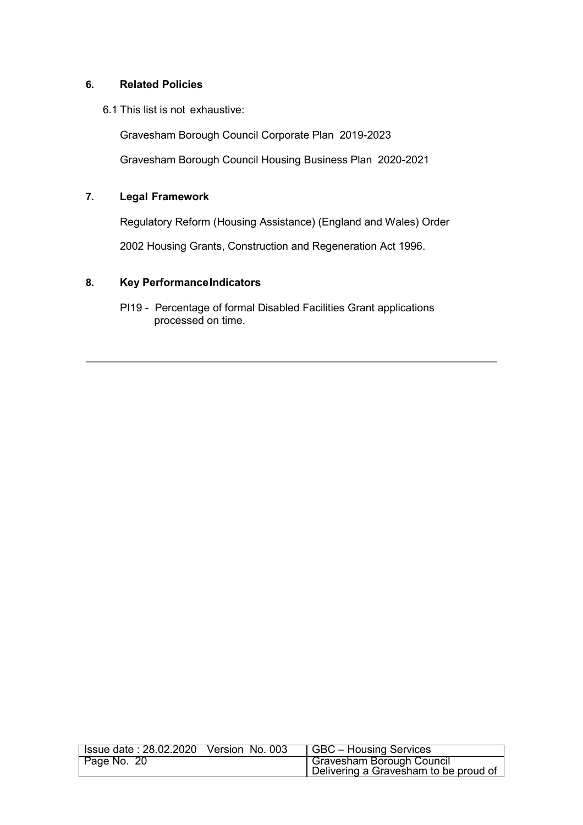## **6. Related Policies**

6.1 This list is not exhaustive:

Gravesham Borough Council Corporate Plan 2019-2023

Gravesham Borough Council Housing Business Plan 2020-2021

## **7. Legal Framework**

Regulatory Reform (Housing Assistance) (England and Wales) Order

2002 Housing Grants, Construction and Regeneration Act 1996.

## **8. Key PerformanceIndicators**

PI19 - Percentage of formal Disabled Facilities Grant applications processed on time.

| Issue date : 28.02.2020  Version No. 003 | GBC – Housing Services                |
|------------------------------------------|---------------------------------------|
| Page No. 20                              | Gravesham Borough Council             |
|                                          | Delivering a Gravesham to be proud of |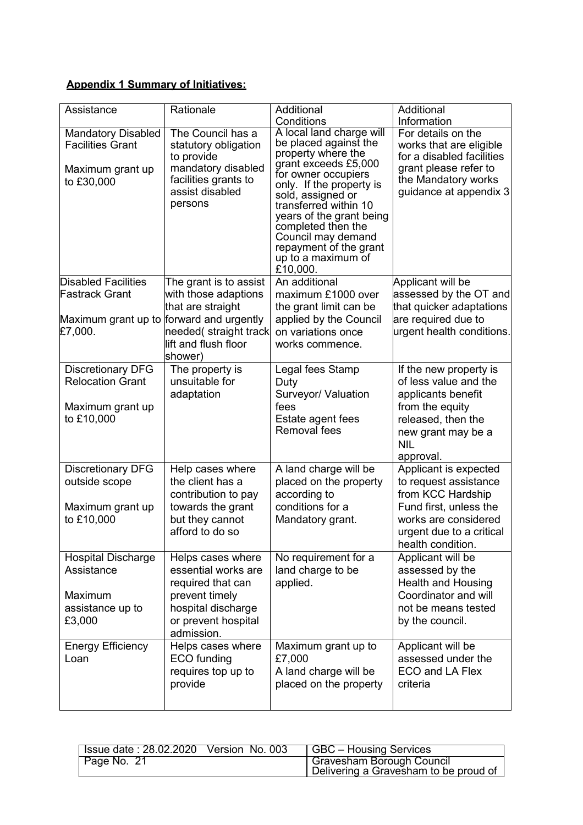## **Appendix 1 Summary of Initiatives:**

| Assistance                                                                                      | Rationale                                                                                                                                  | Additional<br>Conditions                                                                                                                                                                                                                                                                                                             | Additional<br>Information                                                                                                                                              |
|-------------------------------------------------------------------------------------------------|--------------------------------------------------------------------------------------------------------------------------------------------|--------------------------------------------------------------------------------------------------------------------------------------------------------------------------------------------------------------------------------------------------------------------------------------------------------------------------------------|------------------------------------------------------------------------------------------------------------------------------------------------------------------------|
| <b>Mandatory Disabled</b><br><b>Facilities Grant</b><br>Maximum grant up<br>to £30,000          | The Council has a<br>statutory obligation<br>to provide<br>mandatory disabled<br>facilities grants to<br>assist disabled<br>persons        | A local land charge will<br>be placed against the<br>property where the<br>grant exceeds £5,000<br>for owner occupiers<br>only. If the property is<br>sold, assigned or<br>transferred within 10<br>years of the grant being<br>completed then the<br>Council may demand<br>repayment of the grant<br>up to a maximum of<br>£10,000. | For details on the<br>works that are eligible<br>for a disabled facilities<br>grant please refer to<br>the Mandatory works<br>guidance at appendix 3                   |
| <b>Disabled Facilities</b><br><b>Fastrack Grant</b><br>Maximum grant up to forward and urgently | The grant is to assist<br>with those adaptions<br>that are straight                                                                        | An additional<br>maximum £1000 over<br>the grant limit can be<br>applied by the Council                                                                                                                                                                                                                                              | Applicant will be<br>assessed by the OT and<br>that quicker adaptations<br>are required due to                                                                         |
| £7,000.                                                                                         | needed(straight track<br>lift and flush floor<br>shower)                                                                                   | on variations once<br>works commence.                                                                                                                                                                                                                                                                                                | urgent health conditions.                                                                                                                                              |
| <b>Discretionary DFG</b><br><b>Relocation Grant</b><br>Maximum grant up<br>to £10,000           | The property is<br>unsuitable for<br>adaptation                                                                                            | Legal fees Stamp<br>Duty<br>Surveyor/ Valuation<br>fees<br>Estate agent fees<br>Removal fees                                                                                                                                                                                                                                         | If the new property is<br>of less value and the<br>applicants benefit<br>from the equity<br>released, then the<br>new grant may be a<br><b>NIL</b><br>approval.        |
| <b>Discretionary DFG</b><br>outside scope<br>Maximum grant up<br>to £10,000                     | Help cases where<br>the client has a<br>contribution to pay<br>towards the grant<br>but they cannot<br>afford to do so                     | A land charge will be<br>placed on the property<br>according to<br>conditions for a<br>Mandatory grant.                                                                                                                                                                                                                              | Applicant is expected<br>to request assistance<br>from KCC Hardship<br>Fund first, unless the<br>works are considered<br>urgent due to a critical<br>health condition. |
| <b>Hospital Discharge</b><br>Assistance<br>Maximum<br>assistance up to<br>£3,000                | Helps cases where<br>essential works are<br>required that can<br>prevent timely<br>hospital discharge<br>or prevent hospital<br>admission. | No requirement for a<br>land charge to be<br>applied.                                                                                                                                                                                                                                                                                | Applicant will be<br>assessed by the<br><b>Health and Housing</b><br>Coordinator and will<br>not be means tested<br>by the council.                                    |
| <b>Energy Efficiency</b><br>Loan                                                                | Helps cases where<br>ECO funding<br>requires top up to<br>provide                                                                          | Maximum grant up to<br>£7,000<br>A land charge will be<br>placed on the property                                                                                                                                                                                                                                                     | Applicant will be<br>assessed under the<br>ECO and LA Flex<br>criteria                                                                                                 |

| <b>Issue date: 28.02.2020 Version No. 003</b> | GBC – Housing Services                                                    |
|-----------------------------------------------|---------------------------------------------------------------------------|
| Page No. 21                                   | <b>Gravesham Borough Council</b><br>Delivering a Gravesham to be proud of |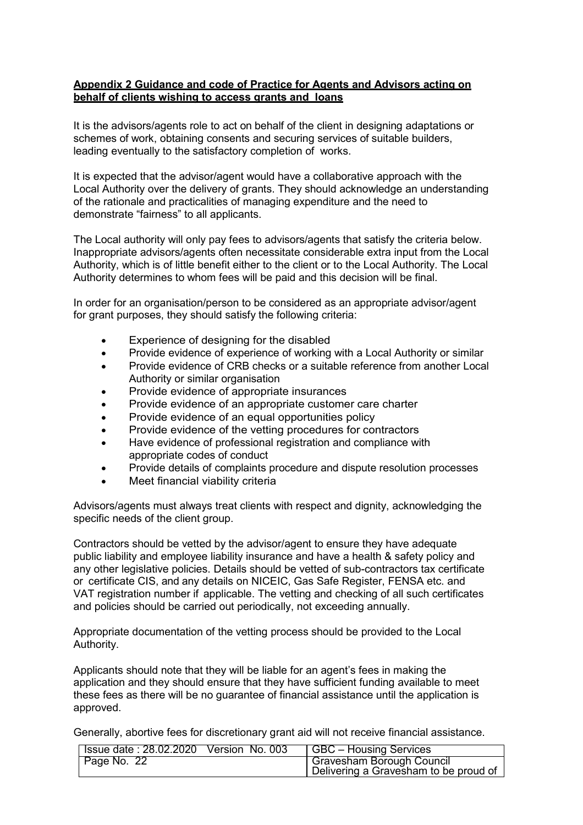## **Appendix 2 Guidance and code of Practice for Agents and Advisors acting on behalf of clients wishing to access grants and loans**

It is the advisors/agents role to act on behalf of the client in designing adaptations or schemes of work, obtaining consents and securing services of suitable builders, leading eventually to the satisfactory completion of works.

It is expected that the advisor/agent would have a collaborative approach with the Local Authority over the delivery of grants. They should acknowledge an understanding of the rationale and practicalities of managing expenditure and the need to demonstrate "fairness" to all applicants.

The Local authority will only pay fees to advisors/agents that satisfy the criteria below. Inappropriate advisors/agents often necessitate considerable extra input from the Local Authority, which is of little benefit either to the client or to the Local Authority. The Local Authority determines to whom fees will be paid and this decision will be final.

In order for an organisation/person to be considered as an appropriate advisor/agent for grant purposes, they should satisfy the following criteria:

- Experience of designing for the disabled
- Provide evidence of experience of working with a Local Authority or similar
- Provide evidence of CRB checks or a suitable reference from another Local Authority or similar organisation
- Provide evidence of appropriate insurances
- Provide evidence of an appropriate customer care charter
- Provide evidence of an equal opportunities policy
- Provide evidence of the vetting procedures for contractors
- Have evidence of professional registration and compliance with appropriate codes of conduct
- Provide details of complaints procedure and dispute resolution processes
- Meet financial viability criteria

Advisors/agents must always treat clients with respect and dignity, acknowledging the specific needs of the client group.

Contractors should be vetted by the advisor/agent to ensure they have adequate public liability and employee liability insurance and have a health & safety policy and any other legislative policies. Details should be vetted of sub-contractors tax certificate or certificate CIS, and any details on NICEIC, Gas Safe Register, FENSA etc. and VAT registration number if applicable. The vetting and checking of all such certificates and policies should be carried out periodically, not exceeding annually.

Appropriate documentation of the vetting process should be provided to the Local Authority.

Applicants should note that they will be liable for an agent's fees in making the application and they should ensure that they have sufficient funding available to meet these fees as there will be no guarantee of financial assistance until the application is approved.

Generally, abortive fees for discretionary grant aid will not receive financial assistance.

| <b>Issue date: 28.02.2020 Version No. 003</b> | GBC - Housing Services                |
|-----------------------------------------------|---------------------------------------|
| ∣ Page No. 22                                 | <b>Gravesham Borough Council</b>      |
|                                               | Delivering a Gravesham to be proud of |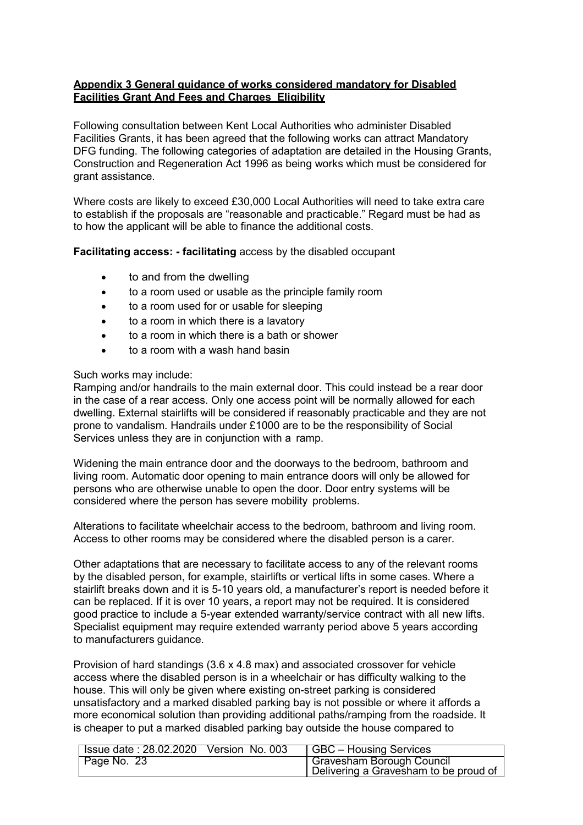## **Appendix 3 General guidance of works considered mandatory for Disabled Facilities Grant And Fees and Charges Eligibility**

Following consultation between Kent Local Authorities who administer Disabled Facilities Grants, it has been agreed that the following works can attract Mandatory DFG funding. The following categories of adaptation are detailed in the Housing Grants, Construction and Regeneration Act 1996 as being works which must be considered for grant assistance.

Where costs are likely to exceed £30,000 Local Authorities will need to take extra care to establish if the proposals are "reasonable and practicable." Regard must be had as to how the applicant will be able to finance the additional costs.

**Facilitating access: - facilitating** access by the disabled occupant

- to and from the dwelling
- to a room used or usable as the principle family room
- to a room used for or usable for sleeping
- to a room in which there is a lavatory
- to a room in which there is a bath or shower
- to a room with a wash hand basin

#### Such works may include:

Ramping and/or handrails to the main external door. This could instead be a rear door in the case of a rear access. Only one access point will be normally allowed for each dwelling. External stairlifts will be considered if reasonably practicable and they are not prone to vandalism. Handrails under £1000 are to be the responsibility of Social Services unless they are in conjunction with a ramp.

Widening the main entrance door and the doorways to the bedroom, bathroom and living room. Automatic door opening to main entrance doors will only be allowed for persons who are otherwise unable to open the door. Door entry systems will be considered where the person has severe mobility problems.

Alterations to facilitate wheelchair access to the bedroom, bathroom and living room. Access to other rooms may be considered where the disabled person is a carer.

Other adaptations that are necessary to facilitate access to any of the relevant rooms by the disabled person, for example, stairlifts or vertical lifts in some cases. Where a stairlift breaks down and it is 5-10 years old, a manufacturer's report is needed before it can be replaced. If it is over 10 years, a report may not be required. It is considered good practice to include a 5-year extended warranty/service contract with all new lifts. Specialist equipment may require extended warranty period above 5 years according to manufacturers guidance.

Provision of hard standings (3.6 x 4.8 max) and associated crossover for vehicle access where the disabled person is in a wheelchair or has difficulty walking to the house. This will only be given where existing on-street parking is considered unsatisfactory and a marked disabled parking bay is not possible or where it affords a more economical solution than providing additional paths/ramping from the roadside. It is cheaper to put a marked disabled parking bay outside the house compared to

| GBC – Housing Services                                             |
|--------------------------------------------------------------------|
| Gravesham Borough Council<br>Delivering a Gravesham to be proud of |
|                                                                    |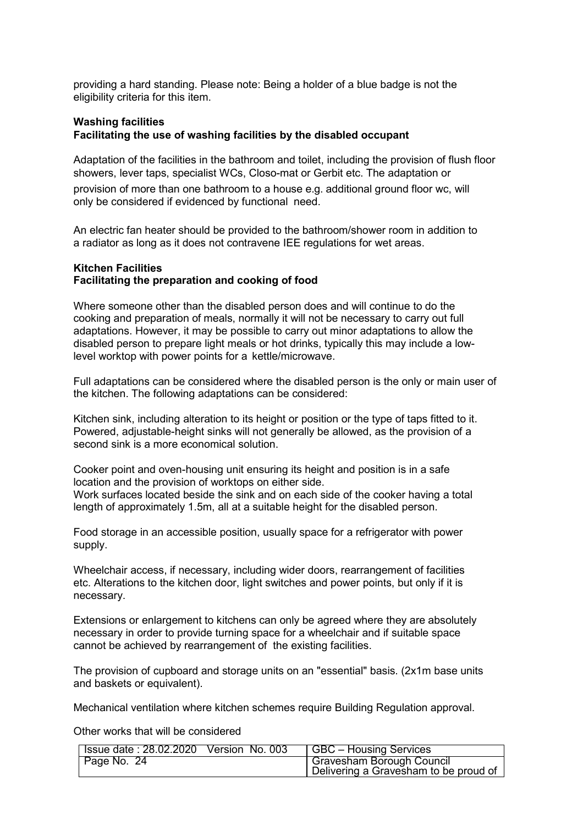providing a hard standing. Please note: Being a holder of a blue badge is not the eligibility criteria for this item.

#### **Washing facilities**

#### **Facilitating the use of washing facilities by the disabled occupant**

Adaptation of the facilities in the bathroom and toilet, including the provision of flush floor showers, lever taps, specialist WCs, Closo-mat or Gerbit etc. The adaptation or

provision of more than one bathroom to a house e.g. additional ground floor wc, will only be considered if evidenced by functional need.

An electric fan heater should be provided to the bathroom/shower room in addition to a radiator as long as it does not contravene IEE regulations for wet areas.

#### **Kitchen Facilities Facilitating the preparation and cooking of food**

Where someone other than the disabled person does and will continue to do the cooking and preparation of meals, normally it will not be necessary to carry out full adaptations. However, it may be possible to carry out minor adaptations to allow the disabled person to prepare light meals or hot drinks, typically this may include a lowlevel worktop with power points for a kettle/microwave.

Full adaptations can be considered where the disabled person is the only or main user of the kitchen. The following adaptations can be considered:

Kitchen sink, including alteration to its height or position or the type of taps fitted to it. Powered, adjustable-height sinks will not generally be allowed, as the provision of a second sink is a more economical solution.

Cooker point and oven-housing unit ensuring its height and position is in a safe location and the provision of worktops on either side.

Work surfaces located beside the sink and on each side of the cooker having a total length of approximately 1.5m, all at a suitable height for the disabled person.

Food storage in an accessible position, usually space for a refrigerator with power supply.

Wheelchair access, if necessary, including wider doors, rearrangement of facilities etc. Alterations to the kitchen door, light switches and power points, but only if it is necessary.

Extensions or enlargement to kitchens can only be agreed where they are absolutely necessary in order to provide turning space for a wheelchair and if suitable space cannot be achieved by rearrangement of the existing facilities.

The provision of cupboard and storage units on an "essential" basis. (2x1m base units and baskets or equivalent).

Mechanical ventilation where kitchen schemes require Building Regulation approval.

Other works that will be considered

| Issue date: 28.02.2020 Version No. 003 | GBC – Housing Services                                             |
|----------------------------------------|--------------------------------------------------------------------|
| Page No. 24                            | Gravesham Borough Council<br>Delivering a Gravesham to be proud of |
|                                        |                                                                    |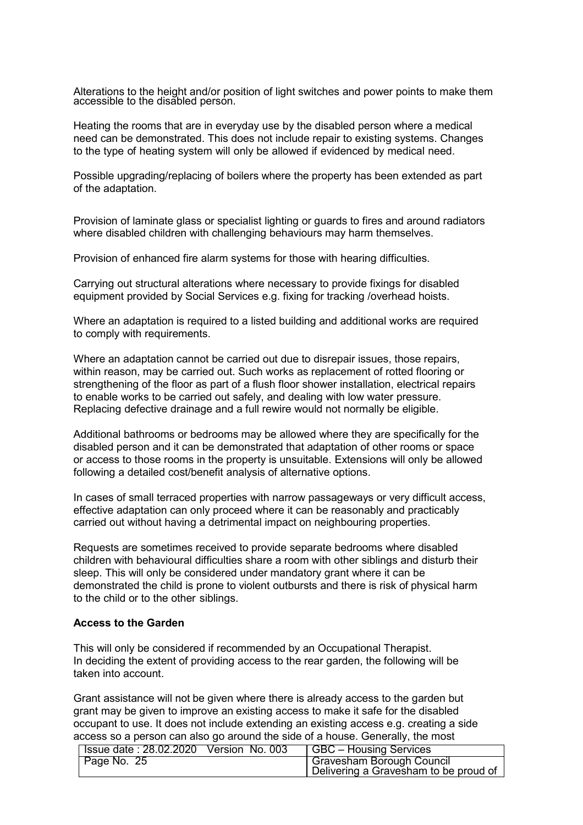Alterations to the height and/or position of light switches and power points to make them accessible to the disabled person.

Heating the rooms that are in everyday use by the disabled person where a medical need can be demonstrated. This does not include repair to existing systems. Changes to the type of heating system will only be allowed if evidenced by medical need.

Possible upgrading/replacing of boilers where the property has been extended as part of the adaptation.

Provision of laminate glass or specialist lighting or guards to fires and around radiators where disabled children with challenging behaviours may harm themselves.

Provision of enhanced fire alarm systems for those with hearing difficulties.

Carrying out structural alterations where necessary to provide fixings for disabled equipment provided by Social Services e.g. fixing for tracking /overhead hoists.

Where an adaptation is required to a listed building and additional works are required to comply with requirements.

Where an adaptation cannot be carried out due to disrepair issues, those repairs, within reason, may be carried out. Such works as replacement of rotted flooring or strengthening of the floor as part of a flush floor shower installation, electrical repairs to enable works to be carried out safely, and dealing with low water pressure. Replacing defective drainage and a full rewire would not normally be eligible.

Additional bathrooms or bedrooms may be allowed where they are specifically for the disabled person and it can be demonstrated that adaptation of other rooms or space or access to those rooms in the property is unsuitable. Extensions will only be allowed following a detailed cost/benefit analysis of alternative options.

In cases of small terraced properties with narrow passageways or very difficult access, effective adaptation can only proceed where it can be reasonably and practicably carried out without having a detrimental impact on neighbouring properties.

Requests are sometimes received to provide separate bedrooms where disabled children with behavioural difficulties share a room with other siblings and disturb their sleep. This will only be considered under mandatory grant where it can be demonstrated the child is prone to violent outbursts and there is risk of physical harm to the child or to the other siblings.

#### **Access to the Garden**

This will only be considered if recommended by an Occupational Therapist. In deciding the extent of providing access to the rear garden, the following will be taken into account.

Grant assistance will not be given where there is already access to the garden but grant may be given to improve an existing access to make it safe for the disabled occupant to use. It does not include extending an existing access e.g. creating a side access so a person can also go around the side of a house. Generally, the most

| <b>Issue date: 28.02.2020 Version No. 003</b> | GBC – Housing Services                |
|-----------------------------------------------|---------------------------------------|
| Page No. $25$                                 | Gravesham Borough Council             |
|                                               | Delivering a Gravesham to be proud of |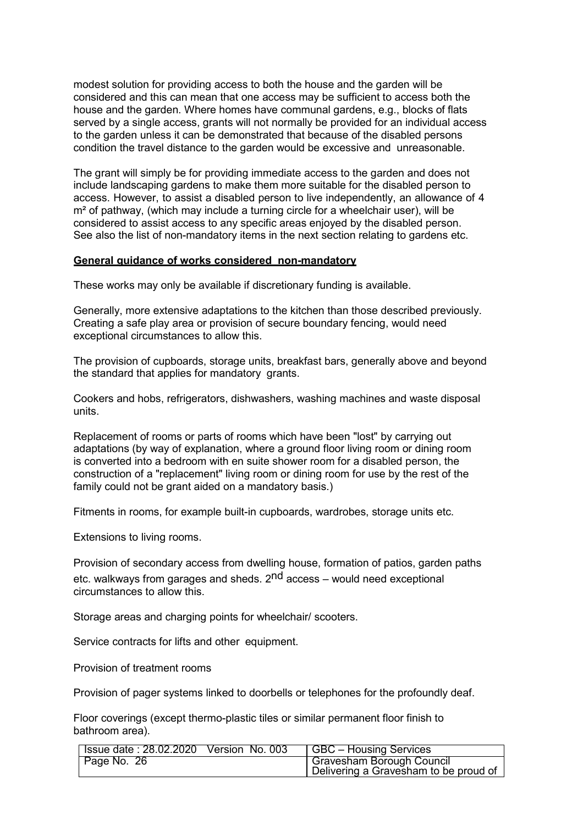modest solution for providing access to both the house and the garden will be considered and this can mean that one access may be sufficient to access both the house and the garden. Where homes have communal gardens, e.g., blocks of flats served by a single access, grants will not normally be provided for an individual access to the garden unless it can be demonstrated that because of the disabled persons condition the travel distance to the garden would be excessive and unreasonable.

The grant will simply be for providing immediate access to the garden and does not include landscaping gardens to make them more suitable for the disabled person to access. However, to assist a disabled person to live independently, an allowance of 4 m<sup>2</sup> of pathway, (which may include a turning circle for a wheelchair user), will be considered to assist access to any specific areas enjoyed by the disabled person. See also the list of non-mandatory items in the next section relating to gardens etc.

#### **General guidance of works considered non-mandatory**

These works may only be available if discretionary funding is available.

Generally, more extensive adaptations to the kitchen than those described previously. Creating a safe play area or provision of secure boundary fencing, would need exceptional circumstances to allow this.

The provision of cupboards, storage units, breakfast bars, generally above and beyond the standard that applies for mandatory grants.

Cookers and hobs, refrigerators, dishwashers, washing machines and waste disposal units.

Replacement of rooms or parts of rooms which have been "lost" by carrying out adaptations (by way of explanation, where a ground floor living room or dining room is converted into a bedroom with en suite shower room for a disabled person, the construction of a "replacement" living room or dining room for use by the rest of the family could not be grant aided on a mandatory basis.)

Fitments in rooms, for example built-in cupboards, wardrobes, storage units etc.

Extensions to living rooms.

Provision of secondary access from dwelling house, formation of patios, garden paths etc. walkways from garages and sheds. 2<sup>nd</sup> access – would need exceptional circumstances to allow this.

Storage areas and charging points for wheelchair/ scooters.

Service contracts for lifts and other equipment.

Provision of treatment rooms

Provision of pager systems linked to doorbells or telephones for the profoundly deaf.

Floor coverings (except thermo-plastic tiles or similar permanent floor finish to bathroom area).

| <b>Issue date: 28.02.2020 Version No. 003</b> | GBC – Housing Services                |
|-----------------------------------------------|---------------------------------------|
| Page No. $26$                                 | Gravesham Borough Council             |
|                                               | Delivering a Gravesham to be proud of |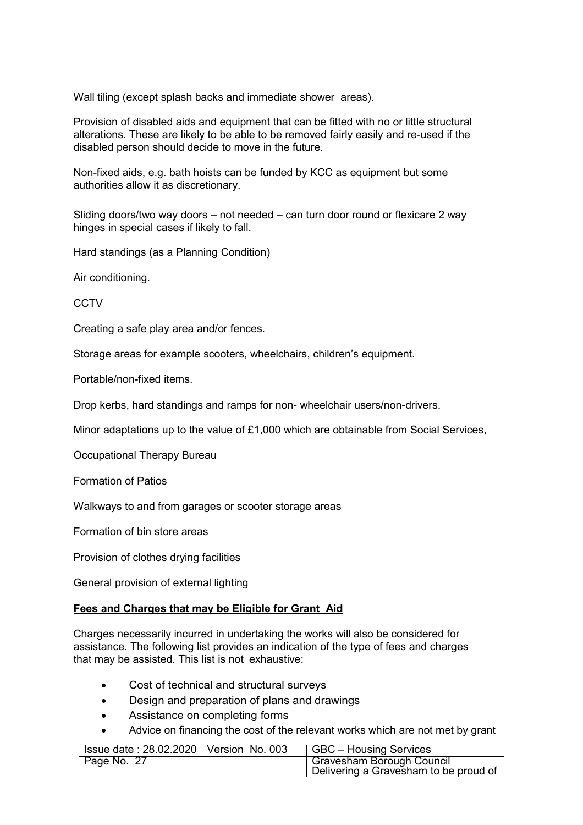Wall tiling (except splash backs and immediate shower areas).

Provision of disabled aids and equipment that can be fitted with no or little structural alterations. These are likely to be able to be removed fairly easily and re-used if the disabled person should decide to move in the future.

Non-fixed aids, e.g. bath hoists can be funded by KCC as equipment but some authorities allow it as discretionary.

Sliding doors/two way doors – not needed – can turn door round or flexicare 2 way hinges in special cases if likely to fall.

Hard standings (as a Planning Condition)

Air conditioning.

**CCTV** 

Creating a safe play area and/or fences.

Storage areas for example scooters, wheelchairs, children's equipment.

Portable/non-fixed items.

Drop kerbs, hard standings and ramps for non- wheelchair users/non-drivers.

Minor adaptations up to the value of £1,000 which are obtainable from Social Services,

Occupational Therapy Bureau

Formation of Patios

Walkways to and from garages or scooter storage areas

Formation of bin store areas

Provision of clothes drying facilities

General provision of external lighting

### **Fees and Charges that may be Eligible for Grant Aid**

Charges necessarily incurred in undertaking the works will also be considered for assistance. The following list provides an indication of the type of fees and charges that may be assisted. This list is not exhaustive:

- Cost of technical and structural surveys
- Design and preparation of plans and drawings
- Assistance on completing forms
- Advice on financing the cost of the relevant works which are not met by grant

| Issue date: 28.02.2020  Version No. 003 | GBC – Housing Services                                                          |
|-----------------------------------------|---------------------------------------------------------------------------------|
| Page No. 27                             | Gravesham Borough Council<br><sup>1</sup> Delivering a Gravesham to be proud of |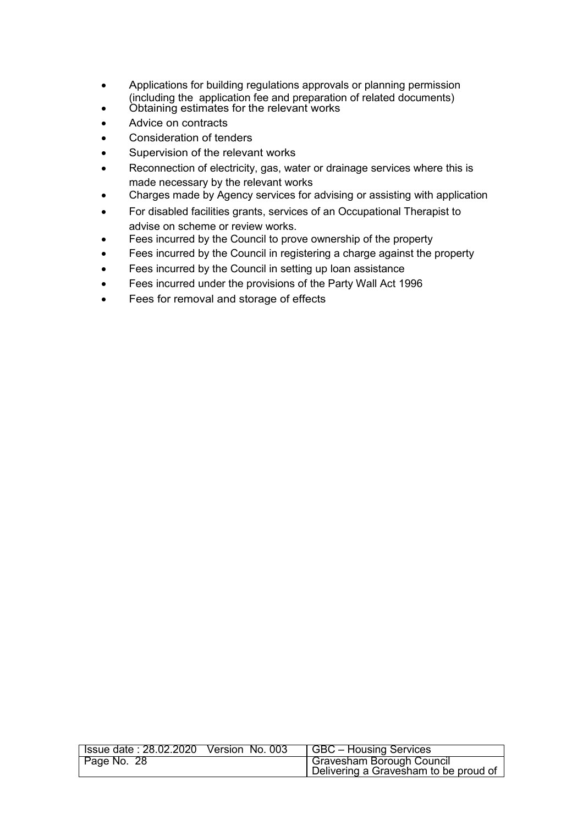- Applications for building regulations approvals or planning permission (including the application fee and preparation of related documents) • Obtaining estimates for the relevant works
- 
- Advice on contracts
- Consideration of tenders
- Supervision of the relevant works
- Reconnection of electricity, gas, water or drainage services where this is made necessary by the relevant works
- Charges made by Agency services for advising or assisting with application
- For disabled facilities grants, services of an Occupational Therapist to advise on scheme or review works.
- Fees incurred by the Council to prove ownership of the property
- Fees incurred by the Council in registering a charge against the property
- Fees incurred by the Council in setting up loan assistance
- Fees incurred under the provisions of the Party Wall Act 1996
- Fees for removal and storage of effects

| <b>Issue date: 28.02.2020 Version No. 003</b> | GBC – Housing Services                                             |
|-----------------------------------------------|--------------------------------------------------------------------|
| Page No. 28                                   | Gravesham Borough Council<br>Delivering a Gravesham to be proud of |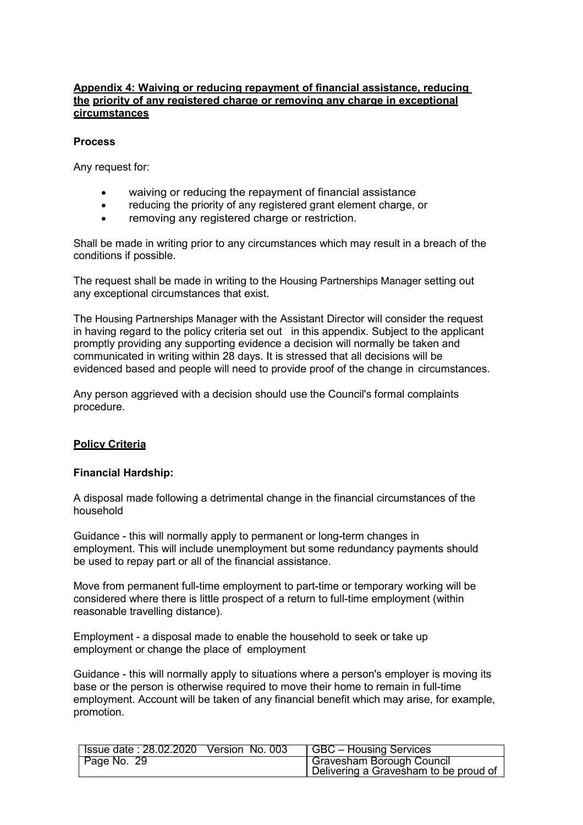## **Appendix 4: Waiving or reducing repayment of financial assistance, reducing the priority of any registered charge or removing any charge in exceptional circumstances**

#### **Process**

Any request for:

- waiving or reducing the repayment of financial assistance
- reducing the priority of any registered grant element charge, or
- removing any registered charge or restriction.

Shall be made in writing prior to any circumstances which may result in a breach of the conditions if possible.

The request shall be made in writing to the Housing Partnerships Manager setting out any exceptional circumstances that exist.

The Housing Partnerships Manager with the Assistant Director will consider the request in having regard to the policy criteria set out in this appendix. Subject to the applicant promptly providing any supporting evidence a decision will normally be taken and communicated in writing within 28 days. It is stressed that all decisions will be evidenced based and people will need to provide proof of the change in circumstances.

Any person aggrieved with a decision should use the Council's formal complaints procedure.

### **Policy Criteria**

#### **Financial Hardship:**

A disposal made following a detrimental change in the financial circumstances of the household

Guidance - this will normally apply to permanent or long-term changes in employment. This will include unemployment but some redundancy payments should be used to repay part or all of the financial assistance.

Move from permanent full-time employment to part-time or temporary working will be considered where there is little prospect of a return to full-time employment (within reasonable travelling distance).

Employment - a disposal made to enable the household to seek or take up employment or change the place of employment

Guidance - this will normally apply to situations where a person's employer is moving its base or the person is otherwise required to move their home to remain in full-time employment. Account will be taken of any financial benefit which may arise, for example, promotion.

| <b>Issue date: 28.02.2020 Version No. 003</b> | GBC - Housing Services                |
|-----------------------------------------------|---------------------------------------|
| Page No. 29                                   | Gravesham Borough Council             |
|                                               | Delivering a Gravesham to be proud of |